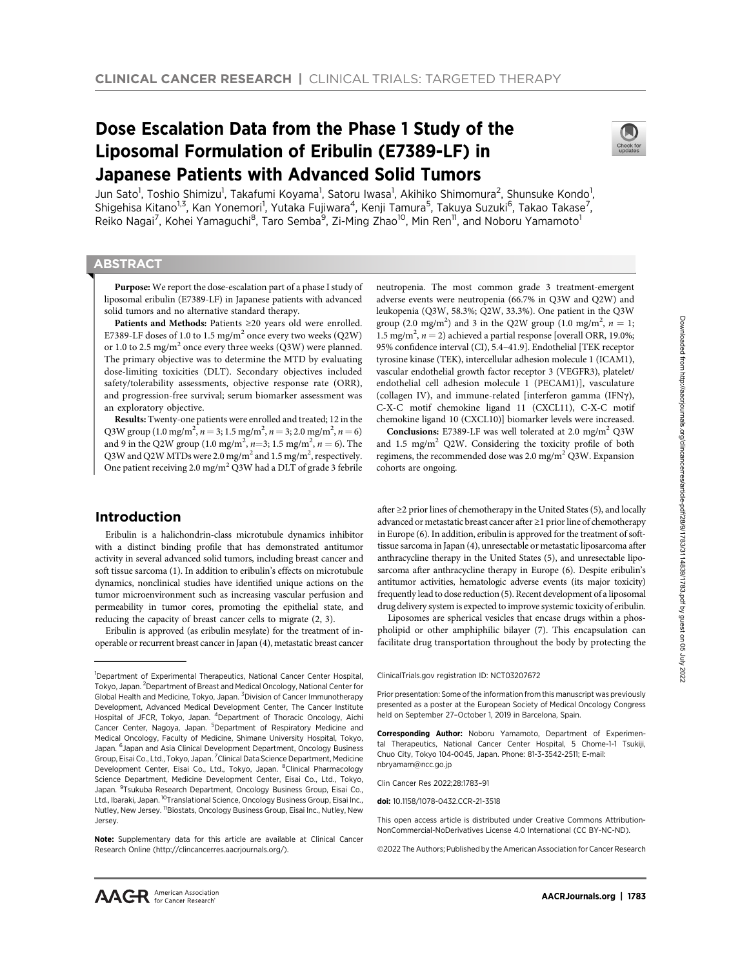# Dose Escalation Data from the Phase 1 Study of the Liposomal Formulation of Eribulin (E7389-LF) in Japanese Patients with Advanced Solid Tumors



Jun Sato<sup>1</sup>, Toshio Shimizu<sup>1</sup>, Takafumi Koyama<sup>1</sup>, Satoru Iwasa<sup>1</sup>, Akihiko Shimomura<sup>2</sup>, Shunsuke Kondo<sup>1</sup>, Shigehisa Kitano<sup>1,3</sup>, Kan Yonemori<sup>1</sup>, Yutaka Fujiwara<sup>4</sup>, Kenji Tamura<sup>5</sup>, Takuya Suzuki<sup>6</sup>, Takao Takase<sup>7</sup>, Reiko Nagai<sup>7</sup>, Kohei Yamaguchi<sup>8</sup>, Taro Semba<sup>9</sup>, Zi-Ming Zhao<sup>10</sup>, Min Ren<sup>11</sup>, and Noboru Yamamoto<sup>1</sup>

# **ABSTRACT**

◥

Purpose: We report the dose-escalation part of a phase I study of liposomal eribulin (E7389-LF) in Japanese patients with advanced solid tumors and no alternative standard therapy.

Patients and Methods: Patients ≥20 years old were enrolled. E7389-LF doses of 1.0 to 1.5 mg/m<sup>2</sup> once every two weeks (Q2W) or 1.0 to 2.5 mg/m<sup>2</sup> once every three weeks (Q3W) were planned. The primary objective was to determine the MTD by evaluating dose-limiting toxicities (DLT). Secondary objectives included safety/tolerability assessments, objective response rate (ORR), and progression-free survival; serum biomarker assessment was an exploratory objective.

Results: Twenty-one patients were enrolled and treated; 12 in the Q3W group (1.0 mg/m<sup>2</sup>, n = 3; 1.5 mg/m<sup>2</sup>, n = 3; 2.0 mg/m<sup>2</sup>, n = 6) and 9 in the Q2W group (1.0 mg/m<sup>2</sup>, n=3; 1.5 mg/m<sup>2</sup>, n = 6). The Q3W and Q2W MTDs were 2.0 mg/m<sup>2</sup> and 1.5 mg/m<sup>2</sup>, respectively. One patient receiving 2.0 mg/m2 Q3W had a DLT of grade 3 febrile

# Introduction

Eribulin is a halichondrin-class microtubule dynamics inhibitor with a distinct binding profile that has demonstrated antitumor activity in several advanced solid tumors, including breast cancer and soft tissue sarcoma (1). In addition to eribulin's effects on microtubule dynamics, nonclinical studies have identified unique actions on the tumor microenvironment such as increasing vascular perfusion and permeability in tumor cores, promoting the epithelial state, and reducing the capacity of breast cancer cells to migrate (2, 3).

Eribulin is approved (as eribulin mesylate) for the treatment of inoperable or recurrent breast cancer in Japan (4), metastatic breast cancer

neutropenia. The most common grade 3 treatment-emergent adverse events were neutropenia (66.7% in Q3W and Q2W) and leukopenia (Q3W, 58.3%; Q2W, 33.3%). One patient in the Q3W group (2.0 mg/m<sup>2</sup>) and 3 in the Q2W group (1.0 mg/m<sup>2</sup>,  $n = 1$ ; 1.5 mg/m<sup>2</sup>,  $n = 2$ ) achieved a partial response [overall ORR, 19.0%; 95% confidence interval (CI), 5.4–41.9]. Endothelial [TEK receptor tyrosine kinase (TEK), intercellular adhesion molecule 1 (ICAM1), vascular endothelial growth factor receptor 3 (VEGFR3), platelet/ endothelial cell adhesion molecule 1 (PECAM1)], vasculature (collagen IV), and immune-related [interferon gamma (IFN $\gamma$ ), C-X-C motif chemokine ligand 11 (CXCL11), C-X-C motif chemokine ligand 10 (CXCL10)] biomarker levels were increased.

**Conclusions:** E7389-LF was well tolerated at 2.0 mg/m<sup>2</sup> Q3W and 1.5 mg/m<sup>2</sup> Q2W. Considering the toxicity profile of both regimens, the recommended dose was  $2.0 \text{ mg/m}^2 \text{ Q3W}$ . Expansion cohorts are ongoing.

after ≥2 prior lines of chemotherapy in the United States (5), and locally advanced or metastatic breast cancer after ≥1 prior line of chemotherapy in Europe (6). In addition, eribulin is approved for the treatment of softtissue sarcoma in Japan (4), unresectable or metastatic liposarcoma after anthracycline therapy in the United States (5), and unresectable liposarcoma after anthracycline therapy in Europe (6). Despite eribulin's antitumor activities, hematologic adverse events (its major toxicity) frequently lead to dose reduction (5). Recent development of a liposomal drug delivery system is expected to improve systemic toxicity of eribulin.

Liposomes are spherical vesicles that encase drugs within a phospholipid or other amphiphilic bilayer (7). This encapsulation can facilitate drug transportation throughout the body by protecting the

Prior presentation: Some of the information from this manuscript was previously presented as a poster at the European Society of Medical Oncology Congress held on September 27–October 1, 2019 in Barcelona, Spain.

Corresponding Author: Noboru Yamamoto, Department of Experimental Therapeutics, National Cancer Center Hospital, 5 Chome-1-1 Tsukiji, Chuo City, Tokyo 104-0045, Japan. Phone: 81-3-3542-2511; E-mail: nbryamam@ncc.go.jp

Clin Cancer Res 2022;28:1783–91

doi: 10.1158/1078-0432.CCR-21-3518

This open access article is distributed under Creative Commons Attribution-NonCommercial-NoDerivatives License 4.0 International (CC BY-NC-ND).

2022 The Authors; Published by the American Association for Cancer Research

<sup>&</sup>lt;sup>1</sup>Department of Experimental Therapeutics, National Cancer Center Hospital, Tokyo, Japan. <sup>2</sup> Department of Breast and Medical Oncology, National Center for Global Health and Medicine, Tokyo, Japan. <sup>3</sup>Division of Cancer Immunotherapy Development, Advanced Medical Development Center, The Cancer Institute Hospital of JFCR, Tokyo, Japan. <sup>4</sup>Department of Thoracic Oncology, Aichi Cancer Center, Nagoya, Japan. <sup>5</sup>Department of Respiratory Medicine and Medical Oncology, Faculty of Medicine, Shimane University Hospital, Tokyo, Japan. <sup>6</sup> Japan and Asia Clinical Development Department, Oncology Business Group, Eisai Co., Ltd., Tokyo, Japan. <sup>7</sup> Clinical Data Science Department, Medicine Development Center, Eisai Co., Ltd., Tokyo, Japan. <sup>8</sup>Clinical Pharmacology Science Department, Medicine Development Center, Eisai Co., Ltd., Tokyo, Japan. <sup>9</sup>Tsukuba Research Department, Oncology Business Group, Eisai Co., Ltd., Ibaraki, Japan. 10Translational Science, Oncology Business Group, Eisai Inc., Nutley, New Jersey. <sup>11</sup>Biostats, Oncology Business Group, Eisai Inc., Nutley, New Jersey.

Note: Supplementary data for this article are available at Clinical Cancer Research Online (http://clincancerres.aacrjournals.org/).

ClinicalTrials.gov registration ID: NCT03207672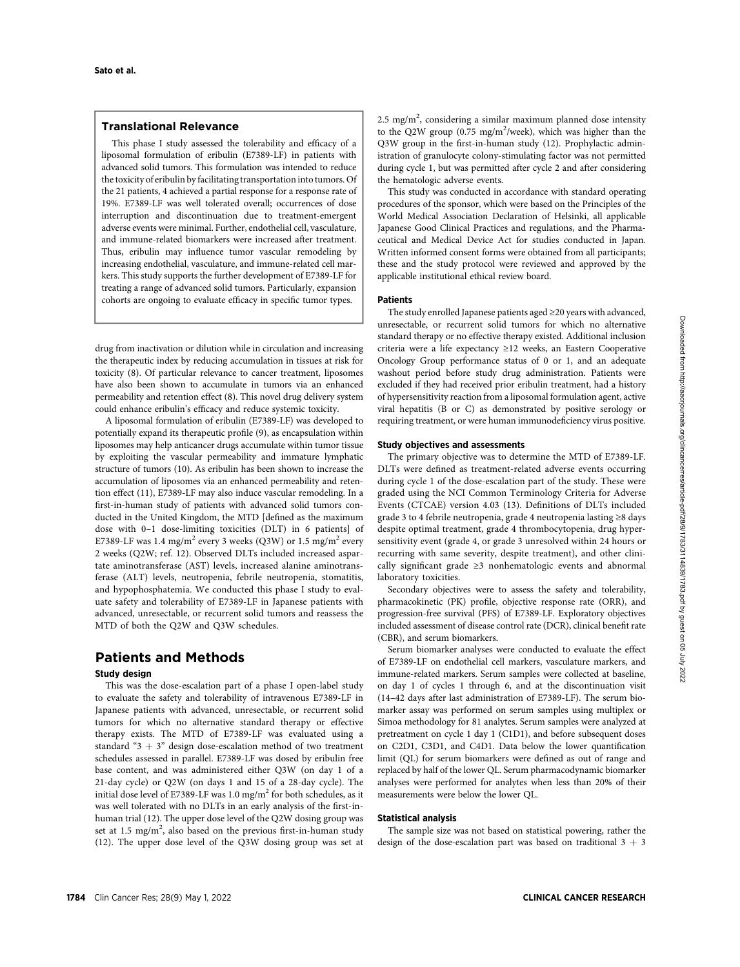# Translational Relevance

This phase I study assessed the tolerability and efficacy of a liposomal formulation of eribulin (E7389-LF) in patients with advanced solid tumors. This formulation was intended to reduce the toxicity of eribulin by facilitating transportation into tumors. Of the 21 patients, 4 achieved a partial response for a response rate of 19%. E7389-LF was well tolerated overall; occurrences of dose interruption and discontinuation due to treatment-emergent adverse events were minimal. Further, endothelial cell, vasculature, and immune-related biomarkers were increased after treatment. Thus, eribulin may influence tumor vascular remodeling by increasing endothelial, vasculature, and immune-related cell markers. This study supports the further development of E7389-LF for treating a range of advanced solid tumors. Particularly, expansion cohorts are ongoing to evaluate efficacy in specific tumor types.

drug from inactivation or dilution while in circulation and increasing the therapeutic index by reducing accumulation in tissues at risk for toxicity (8). Of particular relevance to cancer treatment, liposomes have also been shown to accumulate in tumors via an enhanced permeability and retention effect (8). This novel drug delivery system could enhance eribulin's efficacy and reduce systemic toxicity.

A liposomal formulation of eribulin (E7389-LF) was developed to potentially expand its therapeutic profile (9), as encapsulation within liposomes may help anticancer drugs accumulate within tumor tissue by exploiting the vascular permeability and immature lymphatic structure of tumors (10). As eribulin has been shown to increase the accumulation of liposomes via an enhanced permeability and retention effect (11), E7389-LF may also induce vascular remodeling. In a first-in-human study of patients with advanced solid tumors conducted in the United Kingdom, the MTD [defined as the maximum dose with 0–1 dose-limiting toxicities (DLT) in 6 patients] of E7389-LF was 1.4 mg/m<sup>2</sup> every 3 weeks (Q3W) or 1.5 mg/m<sup>2</sup> every 2 weeks (Q2W; ref. 12). Observed DLTs included increased aspartate aminotransferase (AST) levels, increased alanine aminotransferase (ALT) levels, neutropenia, febrile neutropenia, stomatitis, and hypophosphatemia. We conducted this phase I study to evaluate safety and tolerability of E7389-LF in Japanese patients with advanced, unresectable, or recurrent solid tumors and reassess the MTD of both the Q2W and Q3W schedules.

# Patients and Methods

## Study design

This was the dose-escalation part of a phase I open-label study to evaluate the safety and tolerability of intravenous E7389-LF in Japanese patients with advanced, unresectable, or recurrent solid tumors for which no alternative standard therapy or effective therapy exists. The MTD of E7389-LF was evaluated using a standard " $3 + 3$ " design dose-escalation method of two treatment schedules assessed in parallel. E7389-LF was dosed by eribulin free base content, and was administered either Q3W (on day 1 of a 21-day cycle) or Q2W (on days 1 and 15 of a 28-day cycle). The initial dose level of E7389-LF was 1.0 mg/m<sup>2</sup> for both schedules, as it was well tolerated with no DLTs in an early analysis of the first-inhuman trial (12). The upper dose level of the Q2W dosing group was set at 1.5 mg/m<sup>2</sup>, also based on the previous first-in-human study (12). The upper dose level of the Q3W dosing group was set at

 $2.5$  mg/m<sup>2</sup>, considering a similar maximum planned dose intensity to the Q2W group (0.75 mg/m<sup>2</sup>/week), which was higher than the Q3W group in the first-in-human study (12). Prophylactic administration of granulocyte colony-stimulating factor was not permitted during cycle 1, but was permitted after cycle 2 and after considering the hematologic adverse events.

This study was conducted in accordance with standard operating procedures of the sponsor, which were based on the Principles of the World Medical Association Declaration of Helsinki, all applicable Japanese Good Clinical Practices and regulations, and the Pharmaceutical and Medical Device Act for studies conducted in Japan. Written informed consent forms were obtained from all participants; these and the study protocol were reviewed and approved by the applicable institutional ethical review board.

### Patients

The study enrolled Japanese patients aged ≥20 years with advanced, unresectable, or recurrent solid tumors for which no alternative standard therapy or no effective therapy existed. Additional inclusion criteria were a life expectancy ≥12 weeks, an Eastern Cooperative Oncology Group performance status of 0 or 1, and an adequate washout period before study drug administration. Patients were excluded if they had received prior eribulin treatment, had a history of hypersensitivity reaction from a liposomal formulation agent, active viral hepatitis (B or C) as demonstrated by positive serology or requiring treatment, or were human immunodeficiency virus positive.

#### Study objectives and assessments

The primary objective was to determine the MTD of E7389-LF. DLTs were defined as treatment-related adverse events occurring during cycle 1 of the dose-escalation part of the study. These were graded using the NCI Common Terminology Criteria for Adverse Events (CTCAE) version 4.03 (13). Definitions of DLTs included grade 3 to 4 febrile neutropenia, grade 4 neutropenia lasting ≥8 days despite optimal treatment, grade 4 thrombocytopenia, drug hypersensitivity event (grade 4, or grade 3 unresolved within 24 hours or recurring with same severity, despite treatment), and other clinically significant grade ≥3 nonhematologic events and abnormal laboratory toxicities.

Secondary objectives were to assess the safety and tolerability, pharmacokinetic (PK) profile, objective response rate (ORR), and progression-free survival (PFS) of E7389-LF. Exploratory objectives included assessment of disease control rate (DCR), clinical benefit rate (CBR), and serum biomarkers.

Serum biomarker analyses were conducted to evaluate the effect of E7389-LF on endothelial cell markers, vasculature markers, and immune-related markers. Serum samples were collected at baseline, on day 1 of cycles 1 through 6, and at the discontinuation visit (14–42 days after last administration of E7389-LF). The serum biomarker assay was performed on serum samples using multiplex or Simoa methodology for 81 analytes. Serum samples were analyzed at pretreatment on cycle 1 day 1 (C1D1), and before subsequent doses on C2D1, C3D1, and C4D1. Data below the lower quantification limit (QL) for serum biomarkers were defined as out of range and replaced by half of the lower QL. Serum pharmacodynamic biomarker analyses were performed for analytes when less than 20% of their measurements were below the lower QL.

## Statistical analysis

The sample size was not based on statistical powering, rather the design of the dose-escalation part was based on traditional  $3 + 3$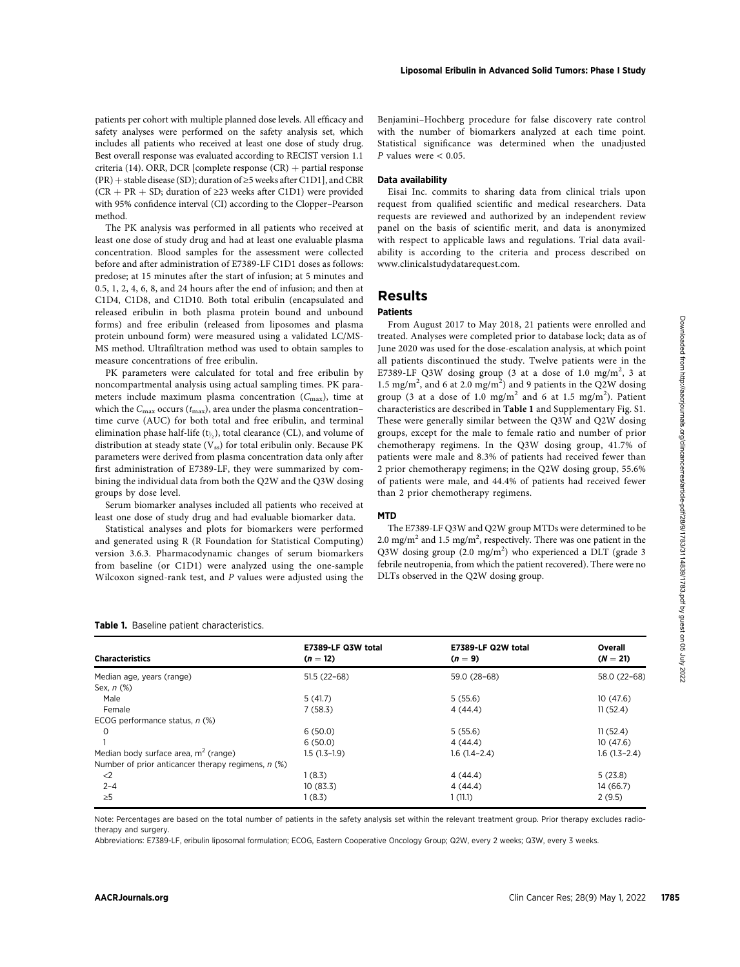patients per cohort with multiple planned dose levels. All efficacy and safety analyses were performed on the safety analysis set, which includes all patients who received at least one dose of study drug. Best overall response was evaluated according to RECIST version 1.1 criteria (14). ORR, DCR [complete response  $(CR)$  + partial response (PR) + stable disease (SD); duration of  $\geq$ 5 weeks after C1D1], and CBR (CR + PR + SD; duration of  $\geq$ 23 weeks after C1D1) were provided with 95% confidence interval (CI) according to the Clopper–Pearson method.

The PK analysis was performed in all patients who received at least one dose of study drug and had at least one evaluable plasma concentration. Blood samples for the assessment were collected before and after administration of E7389-LF C1D1 doses as follows: predose; at 15 minutes after the start of infusion; at 5 minutes and 0.5, 1, 2, 4, 6, 8, and 24 hours after the end of infusion; and then at C1D4, C1D8, and C1D10. Both total eribulin (encapsulated and released eribulin in both plasma protein bound and unbound forms) and free eribulin (released from liposomes and plasma protein unbound form) were measured using a validated LC/MS-MS method. Ultrafiltration method was used to obtain samples to measure concentrations of free eribulin.

Benjamini–Hochberg procedure for false discovery rate control with the number of biomarkers analyzed at each time point. Statistical significance was determined when the unadjusted  $P$  values were  $< 0.05$ .

#### Data availability

Eisai Inc. commits to sharing data from clinical trials upon request from qualified scientific and medical researchers. Data requests are reviewed and authorized by an independent review panel on the basis of scientific merit, and data is anonymized with respect to applicable laws and regulations. Trial data availability is according to the criteria and process described on [www.clinicalstudydatarequest.com](http://www.clinicalstudydatarequest.com).

# Results

# Patients

#### MTD

| Table 1. Baseline patient characteristics. |  |
|--------------------------------------------|--|
|--------------------------------------------|--|

| forms) and free eribulin (released from liposomes and plasma<br>protein unbound form) were measured using a validated LC/MS-<br>MS method. Ultrafiltration method was used to obtain samples to<br>measure concentrations of free eribulin.<br>PK parameters were calculated for total and free eribulin by<br>noncompartmental analysis using actual sampling times. PK para-<br>meters include maximum plasma concentration $(C_{\text{max}})$ , time at<br>which the $C_{\text{max}}$ occurs ( $t_{\text{max}}$ ), area under the plasma concentration-<br>time curve (AUC) for both total and free eribulin, and terminal<br>elimination phase half-life $(t_{\lambda})$ , total clearance (CL), and volume of<br>distribution at steady state (Vss) for total eribulin only. Because PK<br>parameters were derived from plasma concentration data only after<br>first administration of E7389-LF, they were summarized by com-<br>bining the individual data from both the Q2W and the Q3W dosing<br>groups by dose level.<br>Serum biomarker analyses included all patients who received at<br>least one dose of study drug and had evaluable biomarker data.<br>Statistical analyses and plots for biomarkers were performed<br>and generated using R (R Foundation for Statistical Computing)<br>version 3.6.3. Pharmacodynamic changes of serum biomarkers<br>from baseline (or C1D1) were analyzed using the one-sample<br>Wilcoxon signed-rank test, and $P$ values were adjusted using the |                                  | From August 2017 to May 2018, 21 patients were enrolled and<br>treated. Analyses were completed prior to database lock; data as of<br>June 2020 was used for the dose-escalation analysis, at which point<br>all patients discontinued the study. Twelve patients were in the<br>E7389-LF Q3W dosing group (3 at a dose of 1.0 mg/m <sup>2</sup> , 3 at<br>1.5 mg/m <sup>2</sup> , and 6 at 2.0 mg/m <sup>2</sup> ) and 9 patients in the Q2W dosing<br>group (3 at a dose of 1.0 mg/m <sup>2</sup> and 6 at 1.5 mg/m <sup>2</sup> ). Patient<br>characteristics are described in Table 1 and Supplementary Fig. S1.<br>These were generally similar between the Q3W and Q2W dosing<br>groups, except for the male to female ratio and number of prior<br>chemotherapy regimens. In the Q3W dosing group, 41.7% of<br>patients were male and 8.3% of patients had received fewer than<br>2 prior chemotherapy regimens; in the Q2W dosing group, 55.6%<br>of patients were male, and 44.4% of patients had received fewer<br>than 2 prior chemotherapy regimens.<br><b>MTD</b><br>The E7389-LF Q3W and Q2W group MTDs were determined to be<br>2.0 mg/m <sup>2</sup> and 1.5 mg/m <sup>2</sup> , respectively. There was one patient in the<br>Q3W dosing group $(2.0 \text{ mg/m}^2)$ who experienced a DLT (grade 3<br>febrile neutropenia, from which the patient recovered). There were no<br>DLTs observed in the Q2W dosing group. |                                            |
|--------------------------------------------------------------------------------------------------------------------------------------------------------------------------------------------------------------------------------------------------------------------------------------------------------------------------------------------------------------------------------------------------------------------------------------------------------------------------------------------------------------------------------------------------------------------------------------------------------------------------------------------------------------------------------------------------------------------------------------------------------------------------------------------------------------------------------------------------------------------------------------------------------------------------------------------------------------------------------------------------------------------------------------------------------------------------------------------------------------------------------------------------------------------------------------------------------------------------------------------------------------------------------------------------------------------------------------------------------------------------------------------------------------------------------------------------------------------------------------------------------|----------------------------------|------------------------------------------------------------------------------------------------------------------------------------------------------------------------------------------------------------------------------------------------------------------------------------------------------------------------------------------------------------------------------------------------------------------------------------------------------------------------------------------------------------------------------------------------------------------------------------------------------------------------------------------------------------------------------------------------------------------------------------------------------------------------------------------------------------------------------------------------------------------------------------------------------------------------------------------------------------------------------------------------------------------------------------------------------------------------------------------------------------------------------------------------------------------------------------------------------------------------------------------------------------------------------------------------------------------------------------------------------------------------------------------------------------------------------------------|--------------------------------------------|
| Table 1. Baseline patient characteristics.<br><b>Characteristics</b>                                                                                                                                                                                                                                                                                                                                                                                                                                                                                                                                                                                                                                                                                                                                                                                                                                                                                                                                                                                                                                                                                                                                                                                                                                                                                                                                                                                                                                   | E7389-LF Q3W total<br>$(n = 12)$ | E7389-LF Q2W total<br>$(n = 9)$                                                                                                                                                                                                                                                                                                                                                                                                                                                                                                                                                                                                                                                                                                                                                                                                                                                                                                                                                                                                                                                                                                                                                                                                                                                                                                                                                                                                          | Overall<br>$(N = 21)$                      |
| Median age, years (range)                                                                                                                                                                                                                                                                                                                                                                                                                                                                                                                                                                                                                                                                                                                                                                                                                                                                                                                                                                                                                                                                                                                                                                                                                                                                                                                                                                                                                                                                              | $51.5(22-68)$                    | 59.0 (28-68)                                                                                                                                                                                                                                                                                                                                                                                                                                                                                                                                                                                                                                                                                                                                                                                                                                                                                                                                                                                                                                                                                                                                                                                                                                                                                                                                                                                                                             | 58.0 (22-68)                               |
| Sex, n (%)                                                                                                                                                                                                                                                                                                                                                                                                                                                                                                                                                                                                                                                                                                                                                                                                                                                                                                                                                                                                                                                                                                                                                                                                                                                                                                                                                                                                                                                                                             |                                  |                                                                                                                                                                                                                                                                                                                                                                                                                                                                                                                                                                                                                                                                                                                                                                                                                                                                                                                                                                                                                                                                                                                                                                                                                                                                                                                                                                                                                                          |                                            |
| Male<br>Female                                                                                                                                                                                                                                                                                                                                                                                                                                                                                                                                                                                                                                                                                                                                                                                                                                                                                                                                                                                                                                                                                                                                                                                                                                                                                                                                                                                                                                                                                         | 5(41.7)<br>7(58.3)               | 5(55.6)<br>4(44.4)                                                                                                                                                                                                                                                                                                                                                                                                                                                                                                                                                                                                                                                                                                                                                                                                                                                                                                                                                                                                                                                                                                                                                                                                                                                                                                                                                                                                                       | 10(47.6)<br>11(52.4)                       |
| ECOG performance status, n (%)                                                                                                                                                                                                                                                                                                                                                                                                                                                                                                                                                                                                                                                                                                                                                                                                                                                                                                                                                                                                                                                                                                                                                                                                                                                                                                                                                                                                                                                                         |                                  |                                                                                                                                                                                                                                                                                                                                                                                                                                                                                                                                                                                                                                                                                                                                                                                                                                                                                                                                                                                                                                                                                                                                                                                                                                                                                                                                                                                                                                          |                                            |
| 0                                                                                                                                                                                                                                                                                                                                                                                                                                                                                                                                                                                                                                                                                                                                                                                                                                                                                                                                                                                                                                                                                                                                                                                                                                                                                                                                                                                                                                                                                                      | 6(50.0)                          | 5(55.6)                                                                                                                                                                                                                                                                                                                                                                                                                                                                                                                                                                                                                                                                                                                                                                                                                                                                                                                                                                                                                                                                                                                                                                                                                                                                                                                                                                                                                                  | 11(52.4)                                   |
| $\mathbf{1}$                                                                                                                                                                                                                                                                                                                                                                                                                                                                                                                                                                                                                                                                                                                                                                                                                                                                                                                                                                                                                                                                                                                                                                                                                                                                                                                                                                                                                                                                                           | 6(50.0)                          | 4(44.4)                                                                                                                                                                                                                                                                                                                                                                                                                                                                                                                                                                                                                                                                                                                                                                                                                                                                                                                                                                                                                                                                                                                                                                                                                                                                                                                                                                                                                                  | 10(47.6)                                   |
| Median body surface area, m <sup>2</sup> (range)<br>Number of prior anticancer therapy regimens, $n$ (%)                                                                                                                                                                                                                                                                                                                                                                                                                                                                                                                                                                                                                                                                                                                                                                                                                                                                                                                                                                                                                                                                                                                                                                                                                                                                                                                                                                                               | $1.5(1.3-1.9)$                   | $1.6(1.4-2.4)$                                                                                                                                                                                                                                                                                                                                                                                                                                                                                                                                                                                                                                                                                                                                                                                                                                                                                                                                                                                                                                                                                                                                                                                                                                                                                                                                                                                                                           | $1.6(1.3-2.4)$                             |
| $\leq$                                                                                                                                                                                                                                                                                                                                                                                                                                                                                                                                                                                                                                                                                                                                                                                                                                                                                                                                                                                                                                                                                                                                                                                                                                                                                                                                                                                                                                                                                                 | 1(8.3)                           | 4(44.4)                                                                                                                                                                                                                                                                                                                                                                                                                                                                                                                                                                                                                                                                                                                                                                                                                                                                                                                                                                                                                                                                                                                                                                                                                                                                                                                                                                                                                                  | 5(23.8)                                    |
| $2 - 4$                                                                                                                                                                                                                                                                                                                                                                                                                                                                                                                                                                                                                                                                                                                                                                                                                                                                                                                                                                                                                                                                                                                                                                                                                                                                                                                                                                                                                                                                                                | 10 (83.3)                        | 4(44.4)                                                                                                                                                                                                                                                                                                                                                                                                                                                                                                                                                                                                                                                                                                                                                                                                                                                                                                                                                                                                                                                                                                                                                                                                                                                                                                                                                                                                                                  | 14 (66.7)                                  |
| $\geq 5$                                                                                                                                                                                                                                                                                                                                                                                                                                                                                                                                                                                                                                                                                                                                                                                                                                                                                                                                                                                                                                                                                                                                                                                                                                                                                                                                                                                                                                                                                               | 1(8.3)                           | 1(11.1)                                                                                                                                                                                                                                                                                                                                                                                                                                                                                                                                                                                                                                                                                                                                                                                                                                                                                                                                                                                                                                                                                                                                                                                                                                                                                                                                                                                                                                  | 2(9.5)                                     |
| therapy and surgery.                                                                                                                                                                                                                                                                                                                                                                                                                                                                                                                                                                                                                                                                                                                                                                                                                                                                                                                                                                                                                                                                                                                                                                                                                                                                                                                                                                                                                                                                                   |                                  | Note: Percentages are based on the total number of patients in the safety analysis set within the relevant treatment group. Prior therapy excludes radio-<br>Abbreviations: E7389-LF, eribulin liposomal formulation; ECOG, Eastern Cooperative Oncology Group; Q2W, every 2 weeks; Q3W, every 3 weeks.                                                                                                                                                                                                                                                                                                                                                                                                                                                                                                                                                                                                                                                                                                                                                                                                                                                                                                                                                                                                                                                                                                                                  |                                            |
| <b>AACRJournals.org</b>                                                                                                                                                                                                                                                                                                                                                                                                                                                                                                                                                                                                                                                                                                                                                                                                                                                                                                                                                                                                                                                                                                                                                                                                                                                                                                                                                                                                                                                                                |                                  |                                                                                                                                                                                                                                                                                                                                                                                                                                                                                                                                                                                                                                                                                                                                                                                                                                                                                                                                                                                                                                                                                                                                                                                                                                                                                                                                                                                                                                          | 1785<br>Clin Cancer Res; 28(9) May 1, 2022 |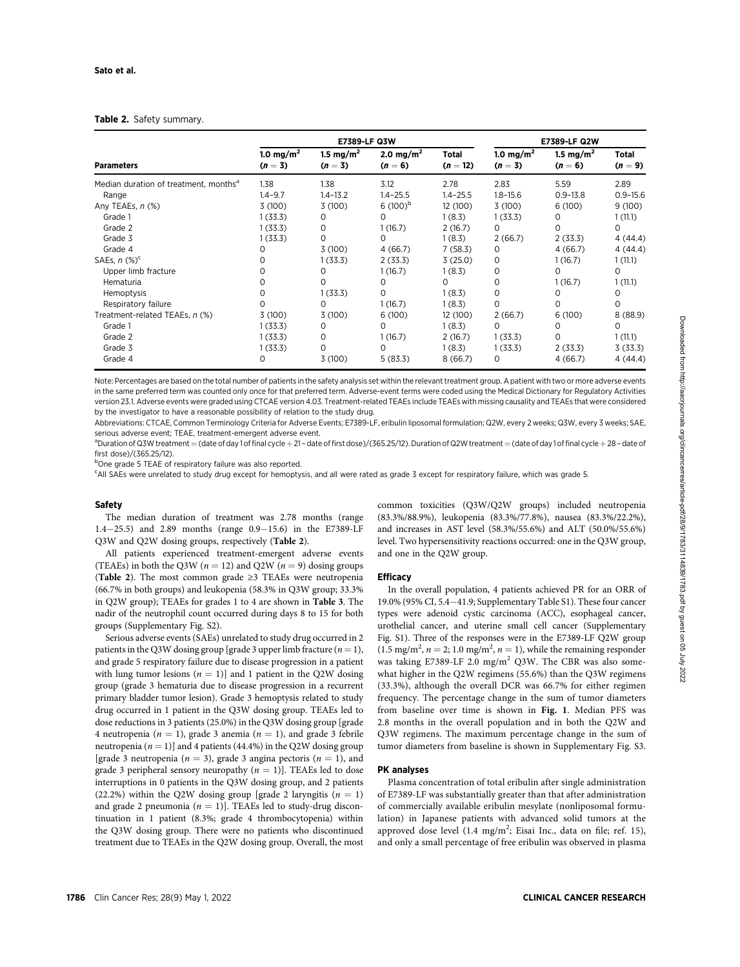#### Table 2. Safety summary.

| <b>Parameters</b>                                                                                                                                                                                                                                                              |                                                                                               | E7389-LF Q3W                                                                                                       | E7389-LF Q2W                                                                                                                    |                                                                                                                                                |                                                                                                                |                                                                                                                     |                                                                                                                           |
|--------------------------------------------------------------------------------------------------------------------------------------------------------------------------------------------------------------------------------------------------------------------------------|-----------------------------------------------------------------------------------------------|--------------------------------------------------------------------------------------------------------------------|---------------------------------------------------------------------------------------------------------------------------------|------------------------------------------------------------------------------------------------------------------------------------------------|----------------------------------------------------------------------------------------------------------------|---------------------------------------------------------------------------------------------------------------------|---------------------------------------------------------------------------------------------------------------------------|
|                                                                                                                                                                                                                                                                                | 1.0 mg/m <sup>2</sup><br>$(n = 3)$                                                            | 1.5 mg/m <sup>2</sup><br>$(n = 3)$                                                                                 | 2.0 mg/m <sup>2</sup><br>$(n = 6)$                                                                                              | Total<br>$(n = 12)$                                                                                                                            | 1.0 mg/m <sup>2</sup><br>$(n = 3)$                                                                             | 1.5 mg/m <sup>2</sup><br>$(n=6)$                                                                                    | <b>Total</b><br>$(n=9)$                                                                                                   |
| Median duration of treatment, months <sup>a</sup><br>Range<br>Any TEAEs, n (%)<br>Grade 1<br>Grade 2<br>Grade 3<br>Grade 4<br>SAEs, $n$ (%) <sup>c</sup><br>Upper limb fracture<br>Hematuria<br>Hemoptysis<br>Respiratory failure<br>Treatment-related TEAEs, n (%)<br>Grade 1 | 1.38<br>$1.4 - 9.7$<br>3(100)<br>1(33.3)<br>1(33.3)<br>1(33.3)<br>0<br>∩<br>3(100)<br>1(33.3) | 1.38<br>$1.4 - 13.2$<br>3(100)<br>$\Omega$<br>0<br>0<br>3(100)<br>1(33.3)<br>0<br>0<br>1(33.3)<br>0<br>3(100)<br>0 | 3.12<br>$1.4 - 25.5$<br>6 $(100)^{6}$<br>0<br>1(16.7)<br>0<br>4(66.7)<br>2(33.3)<br>1(16.7)<br>0<br>0<br>1(16.7)<br>6(100)<br>0 | 2.78<br>$1.4 - 25.5$<br>12 (100)<br>1(8.3)<br>2(16.7)<br>1(8.3)<br>7(58.3)<br>3(25.0)<br>1(8.3)<br>0<br>1(8.3)<br>1(8.3)<br>12 (100)<br>1(8.3) | 2.83<br>$1.8 - 15.6$<br>3(100)<br>1(33.3)<br>0<br>2(66.7)<br>0<br>0<br>0<br>0<br>0<br>0<br>2(66.7)<br>$\Omega$ | 5.59<br>$0.9 - 13.8$<br>6(100)<br>0<br>0<br>2(33.3)<br>4(66.7)<br>1 (16.7)<br>0<br>1(16.7)<br>0<br>0<br>6(100)<br>0 | 2.89<br>$0.9 - 15.6$<br>9(100)<br>1(11.1)<br>0<br>4(44.4)<br>4(44.4)<br>1(11.1)<br>0<br>1(11.1)<br>0<br>0<br>8(88.9)<br>0 |
| Grade 2<br>Grade 3<br>Grade 4                                                                                                                                                                                                                                                  | 1(33.3)<br>1(33.3)<br>$\Omega$                                                                | 0<br>0<br>3 (100)                                                                                                  | 1(16.7)<br>0<br>5(83.3)                                                                                                         | 2(16.7)<br>1(8.3)<br>8(66.7)                                                                                                                   | 1(33.3)<br>1(33.3)<br>0                                                                                        | 0<br>2(33.3)<br>4(66.7)                                                                                             | 1(11.1)<br>3(33.3)<br>4(44.4)                                                                                             |

Note: Percentages are based on the total number of patients in the safety analysis set within the relevant treatment group. A patient with two or more adverse events in the same preferred term was counted only once for that preferred term. Adverse-event terms were coded using the Medical Dictionary for Regulatory Activities version 23.1. Adverse events were graded using CTCAE version 4.03. Treatment-related TEAEs include TEAEs with missing causality and TEAEs that were considered by the investigator to have a reasonable possibility of relation to the study drug.

Abbreviations: CTCAE, Common Terminology Criteria for Adverse Events; E7389-LF, eribulin liposomal formulation; Q2W, every 2 weeks; Q3W, every 3 weeks; SAE, serious adverse event: TEAF, treatment-emergent adverse event.

<sup>a</sup>Duration of Q3W treatment = (date of day 1 of final cycle + 21 - date of first dose)/(365.25/12). Duration of Q2W treatment = (date of day 1 of final cycle + 28 - date of first dose)/(365.25/12).

<sup>b</sup>One grade 5 TEAE of respiratory failure was also reported.

c All SAEs were unrelated to study drug except for hemoptysis, and all were rated as grade 3 except for respiratory failure, which was grade 5.

#### Safety

The median duration of treatment was 2.78 months (range 1.4-25.5) and 2.89 months (range 0.9-15.6) in the E7389-LF Q3W and Q2W dosing groups, respectively (Table 2).

All patients experienced treatment-emergent adverse events (TEAEs) in both the Q3W ( $n = 12$ ) and Q2W ( $n = 9$ ) dosing groups (Table 2). The most common grade ≥3 TEAEs were neutropenia (66.7% in both groups) and leukopenia (58.3% in Q3W group; 33.3% in Q2W group); TEAEs for grades 1 to 4 are shown in Table 3. The nadir of the neutrophil count occurred during days 8 to 15 for both groups (Supplementary Fig. S2).

Serious adverse events (SAEs) unrelated to study drug occurred in 2 patients in the Q3W dosing group [grade 3 upper limb fracture  $(n = 1)$ , and grade 5 respiratory failure due to disease progression in a patient with lung tumor lesions  $(n = 1)$ ] and 1 patient in the Q2W dosing group (grade 3 hematuria due to disease progression in a recurrent primary bladder tumor lesion). Grade 3 hemoptysis related to study drug occurred in 1 patient in the Q3W dosing group. TEAEs led to dose reductions in 3 patients (25.0%) in the Q3W dosing group [grade 4 neutropenia ( $n = 1$ ), grade 3 anemia ( $n = 1$ ), and grade 3 febrile neutropenia ( $n = 1$ )] and 4 patients (44.4%) in the Q2W dosing group [grade 3 neutropenia ( $n = 3$ ), grade 3 angina pectoris ( $n = 1$ ), and grade 3 peripheral sensory neuropathy  $(n = 1)$ ]. TEAEs led to dose interruptions in 0 patients in the Q3W dosing group, and 2 patients (22.2%) within the Q2W dosing group [grade 2 laryngitis  $(n = 1)$ and grade 2 pneumonia ( $n = 1$ )]. TEAEs led to study-drug discontinuation in 1 patient (8.3%; grade 4 thrombocytopenia) within the Q3W dosing group. There were no patients who discontinued treatment due to TEAEs in the Q2W dosing group. Overall, the most common toxicities (Q3W/Q2W groups) included neutropenia (83.3%/88.9%), leukopenia (83.3%/77.8%), nausea (83.3%/22.2%), and increases in AST level (58.3%/55.6%) and ALT (50.0%/55.6%) level. Two hypersensitivity reactions occurred: one in the Q3W group, and one in the Q2W group.

#### **Efficacy**

In the overall population, 4 patients achieved PR for an ORR of 19.0% (95% CI, 5.4-41.9; Supplementary Table S1). These four cancer types were adenoid cystic carcinoma (ACC), esophageal cancer, urothelial cancer, and uterine small cell cancer (Supplementary Fig. S1). Three of the responses were in the E7389-LF Q2W group  $(1.5 \text{ mg/m}^2, n = 2; 1.0 \text{ mg/m}^2, n = 1)$ , while the remaining responder was taking E7389-LF 2.0 mg/m<sup>2</sup> Q3W. The CBR was also somewhat higher in the Q2W regimens (55.6%) than the Q3W regimens (33.3%), although the overall DCR was 66.7% for either regimen frequency. The percentage change in the sum of tumor diameters from baseline over time is shown in Fig. 1. Median PFS was 2.8 months in the overall population and in both the Q2W and Q3W regimens. The maximum percentage change in the sum of tumor diameters from baseline is shown in Supplementary Fig. S3.

#### PK analyses

Plasma concentration of total eribulin after single administration of E7389-LF was substantially greater than that after administration of commercially available eribulin mesylate (nonliposomal formulation) in Japanese patients with advanced solid tumors at the approved dose level  $(1.4 \text{ mg/m}^2;$  Eisai Inc., data on file; ref. 15), and only a small percentage of free eribulin was observed in plasma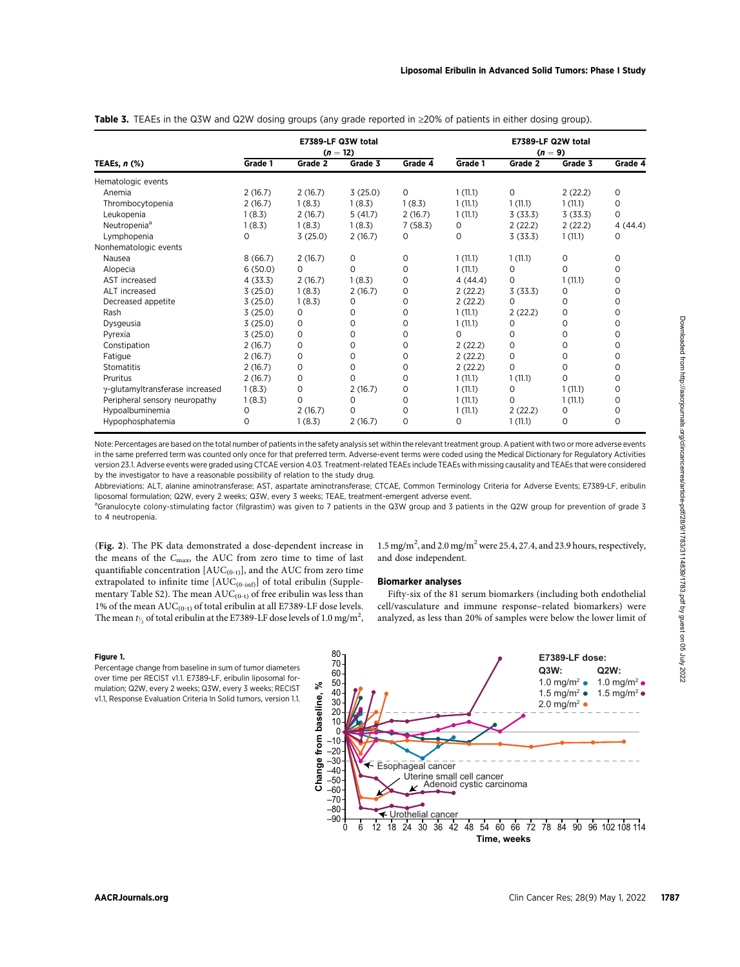|                                 | E7389-LF Q3W total<br>$(n = 12)$ |             |         |         | E7389-LF Q2W total<br>$(n = 9)$ |             |          |             |
|---------------------------------|----------------------------------|-------------|---------|---------|---------------------------------|-------------|----------|-------------|
| TEAEs, $n$ (%)                  | Grade 1                          | Grade 2     | Grade 3 | Grade 4 | Grade 1                         | Grade 2     | Grade 3  | Grade 4     |
| Hematologic events              |                                  |             |         |         |                                 |             |          |             |
| Anemia                          | 2(16.7)                          | 2(16.7)     | 3(25.0) | 0       | 1(11.1)                         | 0           | 2(22.2)  | 0           |
| Thrombocytopenia                | 2(16.7)                          | 1(8.3)      | 1(8.3)  | 1(8.3)  | 1(11.1)                         | 1(11.1)     | 1(11.1)  | $\mathbf 0$ |
| Leukopenia                      | 1(8.3)                           | 2(16.7)     | 5(41.7) | 2(16.7) | 1(11.1)                         | 3(33.3)     | 3(33.3)  | $\Omega$    |
| Neutropenia <sup>a</sup>        | 1(8.3)                           | 1(8.3)      | 1(8.3)  | 7(58.3) | 0                               | 2(22.2)     | 2(22.2)  | 4(44.4)     |
| Lymphopenia                     | O                                | 3(25.0)     | 2(16.7) | 0       | 0                               | 3(33.3)     | 1(11.1)  | $\Omega$    |
| Nonhematologic events           |                                  |             |         |         |                                 |             |          |             |
| Nausea                          | 8(66.7)                          | 2(16.7)     | 0       | 0       | 1(11.1)                         | 1(11.1)     | 0        | 0           |
| Alopecia                        | 6(50.0)                          | $\Omega$    | 0       | 0       | 1(11.1)                         | 0           | $\Omega$ | $\Omega$    |
| AST increased                   | 4(33.3)                          | 2(16.7)     | 1(8.3)  | 0       | 4(44.4)                         | 0           | 1(11.1)  | $\Omega$    |
| ALT increased                   | 3(25.0)                          | 1(8.3)      | 2(16.7) | 0       | 2(22.2)                         | 3(33.3)     | $\Omega$ | $\Omega$    |
| Decreased appetite              | 3(25.0)                          | 1(8.3)      | 0       | 0       | 2(22.2)                         | 0           | 0        | 0           |
| Rash                            | 3(25.0)                          | 0           | 0       | 0       | 1(11.1)                         | 2(22.2)     | 0        | $\Omega$    |
| Dysgeusia                       | 3(25.0)                          | 0           | 0       | 0       | 1(11.1)                         | $\mathbf 0$ | 0        | 0           |
| Pyrexia                         | 3(25.0)                          | 0           | 0       | 0       | 0                               | 0           | 0        | 0           |
| Constipation                    | 2(16.7)                          | $\mathbf 0$ | 0       | 0       | 2(22.2)                         | 0           | 0        | $\Omega$    |
| Fatigue                         | 2(16.7)                          | $\mathbf 0$ | 0       | 0       | 2(22.2)                         | $\mathbf 0$ | 0        | $\Omega$    |
| Stomatitis                      | 2(16.7)                          | $\mathbf 0$ | 0       | 0       | 2(22.2)                         | $\Omega$    | 0        | 0           |
| Pruritus                        | 2(16.7)                          | $\mathbf 0$ | 0       | 0       | 1(11.1)                         | 1(11.1)     | 0        | $\Omega$    |
| γ-glutamyltransferase increased | 1(8.3)                           | $\mathbf 0$ | 2(16.7) | 0       | 1(11.1)                         | 0           | 1(11.1)  | $\mathbf 0$ |
| Peripheral sensory neuropathy   | 1(8.3)                           | 0           | 0       | 0       | 1(11.1)                         | $\Omega$    | 1(11.1)  | $\Omega$    |
| Hypoalbuminemia                 | 0                                | 2(16.7)     | 0       | 0       | 1(11.1)                         | 2(22.2)     | 0        | $\Omega$    |
| Hypophosphatemia                | $\Omega$                         | 1(8.3)      | 2(16.7) | 0       | 0                               | 1(11.1)     | 0        | 0           |

Table 3. TEAEs in the Q3W and Q2W dosing groups (any grade reported in  $\geq$ 20% of patients in either dosing group).

Note: Percentages are based on the total number of patients in the safety analysis set within the relevant treatment group. A patient with two or more adverse events in the same preferred term was counted only once for that preferred term. Adverse-event terms were coded using the Medical Dictionary for Regulatory Activities version 23.1. Adverse events were graded using CTCAE version 4.03. Treatment-related TEAEs include TEAEs with missing causality and TEAEs that were considered by the investigator to have a reasonable possibility of relation to the study drug.

Abbreviations: ALT, alanine aminotransferase; AST, aspartate aminotransferase; CTCAE, Common Terminology Criteria for Adverse Events; E7389-LF, eribulin liposomal formulation; Q2W, every 2 weeks; Q3W, every 3 weeks; TEAE, treatment-emergent adverse event.

<sup>a</sup>Granulocyte colony-stimulating factor (filgrastim) was given to 7 patients in the Q3W group and 3 patients in the Q2W group for prevention of grade 3 to 4 neutropenia.

(Fig. 2). The PK data demonstrated a dose-dependent increase in the means of the  $C_{\text{max}}$ , the AUC from zero time to time of last quantifiable concentration  $[AUC_{(0-t)}]$ , and the AUC from zero time extrapolated to infinite time  $[AUC_{(0\text{-inf})}]$  of total eribulin (Supplementary Table S2). The mean  $\mathrm{AUC}_{(0\text{-}t)}$  of free eribulin was less than 1% of the mean  $AUC_{(0-t)}$  of total eribulin at all E7389-LF dose levels. The mean  $t_{\gamma_2}$  of total eribulin at the E7389-LF dose levels of 1.0 mg/m<sup>2</sup>,

1.5 mg/m<sup>2</sup>, and 2.0 mg/m<sup>2</sup> were 25.4, 27.4, and 23.9 hours, respectively, and dose independent.

### Biomarker analyses

Fifty-six of the 81 serum biomarkers (including both endothelial cell/vasculature and immune response–related biomarkers) were analyzed, as less than 20% of samples were below the lower limit of

#### Figure 1.

Percentage change from baseline in sum of tumor diameters over time per RECIST v1.1. E7389-LF, eribulin liposomal formulation; Q2W, every 2 weeks; Q3W, every 3 weeks; RECIST v1.1, Response Evaluation Criteria In Solid tumors, version 1.1.

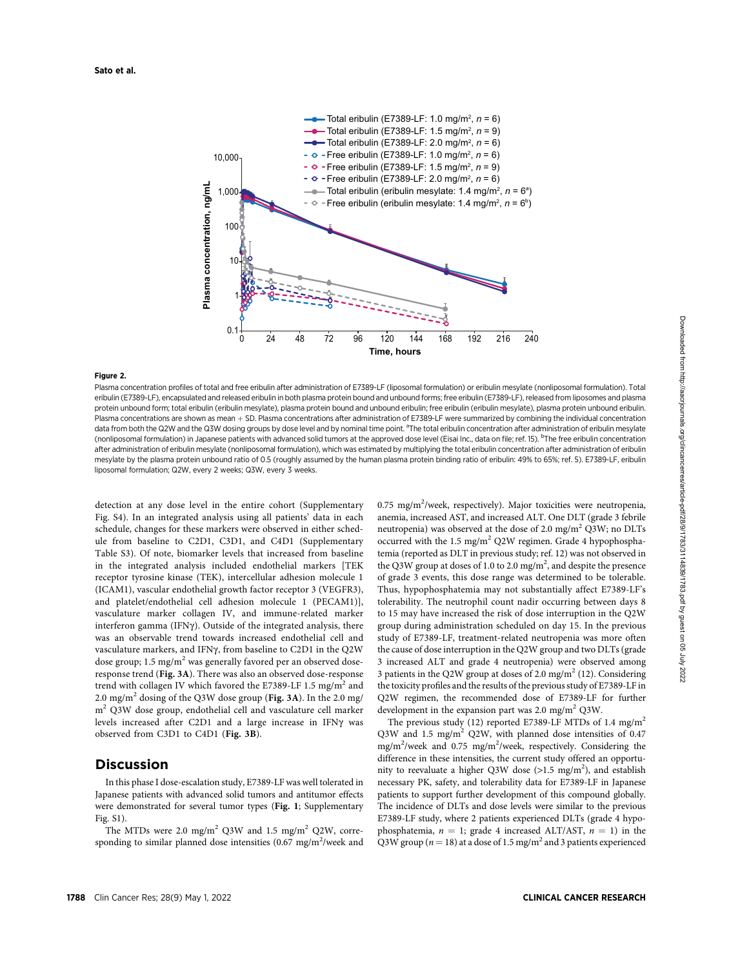

#### Figure 2.

Plasma concentration profiles of total and free eribulin after administration of E7389-LF (liposomal formulation) or eribulin mesylate (nonliposomal formulation). Total eribulin (E7389-LF), encapsulated and released eribulin in both plasma protein bound and unbound forms; free eribulin (E7389-LF), released from liposomes and plasma protein unbound form; total eribulin (eribulin mesylate), plasma protein bound and unbound eribulin; free eribulin (eribulin mesylate), plasma protein unbound eribulin. Plasma concentrations are shown as mean + SD. Plasma concentrations after administration of E7389-LF were summarized by combining the individual concentration data from both the Q2W and the Q3W dosing groups by dose level and by nominal time point. <sup>a</sup>The total eribulin concentration after administration of eribulin mesylate (nonliposomal formulation) in Japanese patients with advanced solid tumors at the approved dose level (Eisai Inc., data on file; ref. 15). <sup>b</sup>The free eribulin concentration after administration of eribulin mesylate (nonliposomal formulation), which was estimated by multiplying the total eribulin concentration after administration of eribulin mesylate by the plasma protein unbound ratio of 0.5 (roughly assumed by the human plasma protein binding ratio of eribulin: 49% to 65%; ref. 5). E7389-LF, eribulin liposomal formulation; Q2W, every 2 weeks; Q3W, every 3 weeks.

detection at any dose level in the entire cohort (Supplementary Fig. S4). In an integrated analysis using all patients' data in each schedule, changes for these markers were observed in either schedule from baseline to C2D1, C3D1, and C4D1 (Supplementary Table S3). Of note, biomarker levels that increased from baseline in the integrated analysis included endothelial markers [TEK receptor tyrosine kinase (TEK), intercellular adhesion molecule 1 (ICAM1), vascular endothelial growth factor receptor 3 (VEGFR3), and platelet/endothelial cell adhesion molecule 1 (PECAM1)], vasculature marker collagen IV, and immune-related marker interferon gamma (IFNy). Outside of the integrated analysis, there was an observable trend towards increased endothelial cell and vasculature markers, and IFNg, from baseline to C2D1 in the Q2W dose group; 1.5 mg/m<sup>2</sup> was generally favored per an observed doseresponse trend (Fig. 3A). There was also an observed dose-response trend with collagen IV which favored the E7389-LF 1.5 mg/m<sup>2</sup> and 2.0 mg/m<sup>2</sup> dosing of the Q3W dose group (Fig. 3A). In the 2.0 mg/ m<sup>2</sup> Q3W dose group, endothelial cell and vasculature cell marker levels increased after C2D1 and a large increase in IFNy was observed from C3D1 to C4D1 (Fig. 3B).

# **Discussion**

In this phase I dose-escalation study, E7389-LF was well tolerated in Japanese patients with advanced solid tumors and antitumor effects were demonstrated for several tumor types (Fig. 1; Supplementary Fig. S1).

The MTDs were 2.0 mg/m<sup>2</sup> Q3W and 1.5 mg/m<sup>2</sup> Q2W, corresponding to similar planned dose intensities  $(0.67 \text{ mg/m}^2/\text{week}$  and

0.75 mg/m<sup>2</sup>/week, respectively). Major toxicities were neutropenia, anemia, increased AST, and increased ALT. One DLT (grade 3 febrile neutropenia) was observed at the dose of 2.0 mg/m<sup>2</sup> Q3W; no DLTs occurred with the 1.5 mg/m<sup>2</sup> Q2W regimen. Grade 4 hypophosphatemia (reported as DLT in previous study; ref. 12) was not observed in the Q3W group at doses of 1.0 to 2.0 mg/m<sup>2</sup>, and despite the presence of grade 3 events, this dose range was determined to be tolerable. Thus, hypophosphatemia may not substantially affect E7389-LF's tolerability. The neutrophil count nadir occurring between days 8 to 15 may have increased the risk of dose interruption in the Q2W group during administration scheduled on day 15. In the previous study of E7389-LF, treatment-related neutropenia was more often the cause of dose interruption in the Q2W group and two DLTs (grade 3 increased ALT and grade 4 neutropenia) were observed among 3 patients in the Q2W group at doses of 2.0 mg/m<sup>2</sup> (12). Considering the toxicity profiles and the results of the previous study of E7389-LF in Q2W regimen, the recommended dose of E7389-LF for further development in the expansion part was  $2.0 \text{ mg/m}^2$  Q3W.

The previous study (12) reported E7389-LF MTDs of 1.4 mg/m<sup>2</sup> Q3W and 1.5 mg/m<sup>2</sup> Q2W, with planned dose intensities of 0.47 mg/m<sup>2</sup>/week and 0.75 mg/m<sup>2</sup>/week, respectively. Considering the difference in these intensities, the current study offered an opportunity to reevaluate a higher Q3W dose ( $>1.5$  mg/m<sup>2</sup>), and establish<br>necessary PK safety and tolerability data for E7389 LE in Japanese necessary PK, safety, and tolerability data for E7389-LF in Japanese patients to support further development of this compound globally. The incidence of DLTs and dose levels were similar to the previous E7389-LF study, where 2 patients experienced DLTs (grade 4 hypophosphatemia,  $n = 1$ ; grade 4 increased ALT/AST,  $n = 1$ ) in the Q3W group ( $n = 18$ ) at a dose of 1.5 mg/m<sup>2</sup> and 3 patients experienced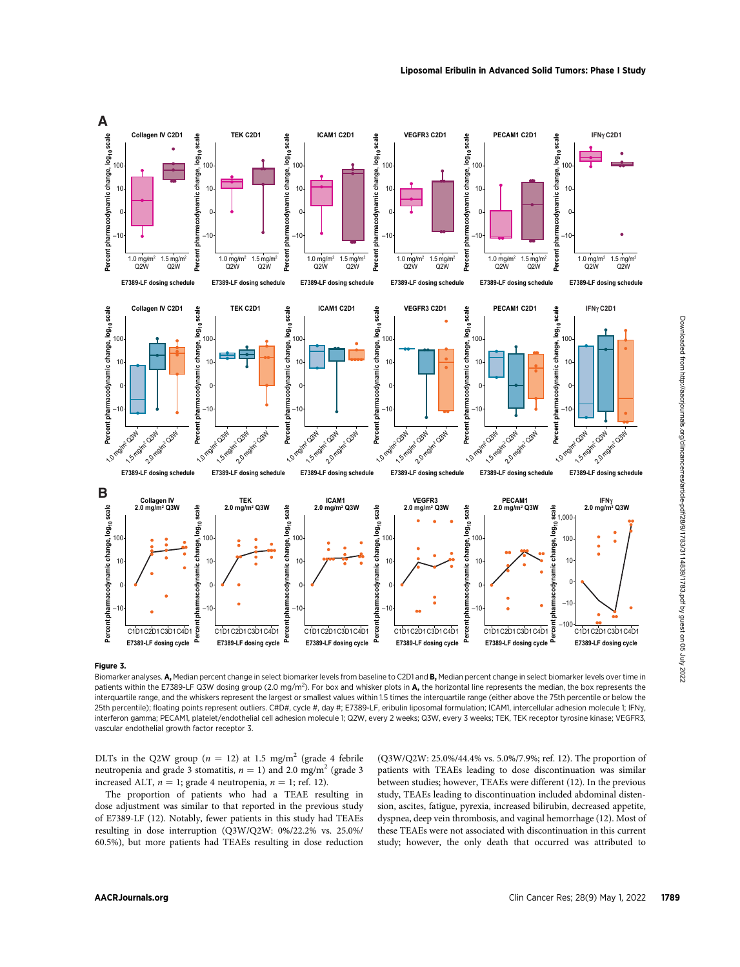

Biomarker analyses. A, Median percent change in select biomarker levels from baseline to C2D1 and B, Median percent change in select biomarker levels over time in patients within the E7389-LF Q3W dosing group (2.0 mg/m<sup>2</sup>). For box and whisker plots in A, the horizontal line represents the median, the box represents the interquartile range, and the whiskers represent the largest or smallest values within 1.5 times the interquartile range (either above the 75th percentile or below the 25th percentile); floating points represent outliers. C#D#, cycle #, day #; E7389-LF, eribulin liposomal formulation; ICAM1, intercellular adhesion molecule 1; IFNg, interferon gamma; PECAM1, platelet/endothelial cell adhesion molecule 1; Q2W, every 2 weeks; Q3W, every 3 weeks; TEK, TEK receptor tyrosine kinase; VEGFR3, vascular endothelial growth factor receptor 3.

DLTs in the Q2W group ( $n = 12$ ) at 1.5 mg/m<sup>2</sup> (grade 4 febrile neutropenia and grade 3 stomatitis,  $n = 1$ ) and 2.0 mg/m<sup>2</sup> (grade 3 increased ALT,  $n = 1$ ; grade 4 neutropenia,  $n = 1$ ; ref. 12).

The proportion of patients who had a TEAE resulting in dose adjustment was similar to that reported in the previous study of E7389-LF (12). Notably, fewer patients in this study had TEAEs resulting in dose interruption (Q3W/Q2W: 0%/22.2% vs. 25.0%/ 60.5%), but more patients had TEAEs resulting in dose reduction (Q3W/Q2W: 25.0%/44.4% vs. 5.0%/7.9%; ref. 12). The proportion of patients with TEAEs leading to dose discontinuation was similar between studies; however, TEAEs were different (12). In the previous study, TEAEs leading to discontinuation included abdominal distension, ascites, fatigue, pyrexia, increased bilirubin, decreased appetite, dyspnea, deep vein thrombosis, and vaginal hemorrhage (12). Most of these TEAEs were not associated with discontinuation in this current study; however, the only death that occurred was attributed to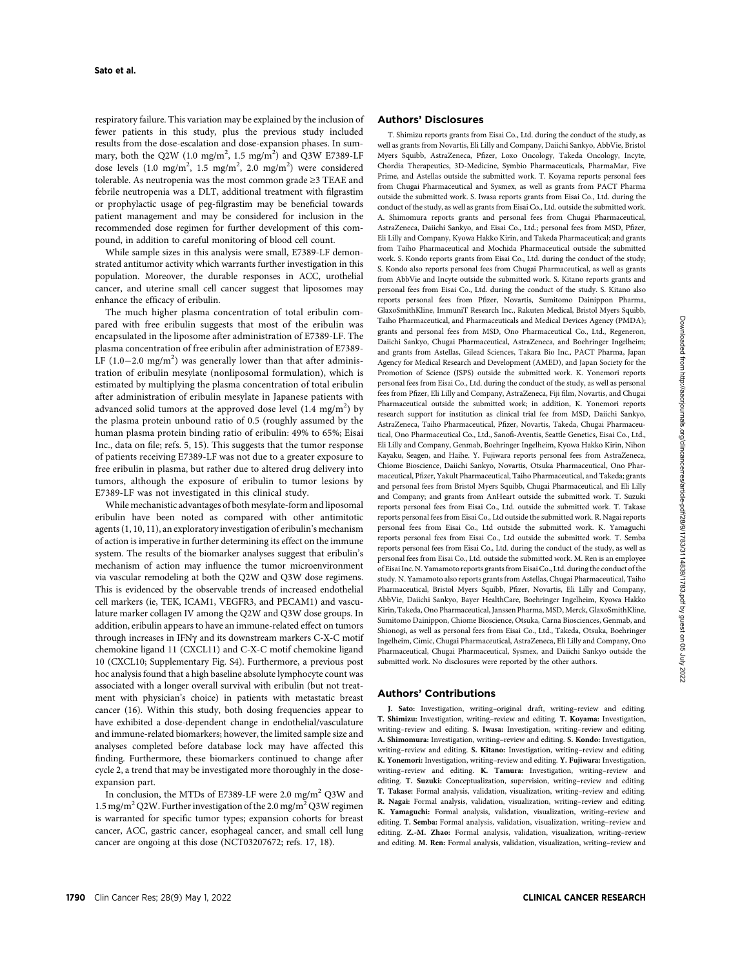respiratory failure. This variation may be explained by the inclusion of fewer patients in this study, plus the previous study included results from the dose-escalation and dose-expansion phases. In summary, both the Q2W (1.0 mg/m<sup>2</sup>, 1.5 mg/m<sup>2</sup>) and Q3W E7389-LF dose levels (1.0 mg/m<sup>2</sup>, 1.5 mg/m<sup>2</sup>, 2.0 mg/m<sup>2</sup>) were considered tolerable. As neutropenia was the most common grade ≥3 TEAE and febrile neutropenia was a DLT, additional treatment with filgrastim or prophylactic usage of peg-filgrastim may be beneficial towards patient management and may be considered for inclusion in the recommended dose regimen for further development of this compound, in addition to careful monitoring of blood cell count.

While sample sizes in this analysis were small, E7389-LF demonstrated antitumor activity which warrants further investigation in this population. Moreover, the durable responses in ACC, urothelial cancer, and uterine small cell cancer suggest that liposomes may enhance the efficacy of eribulin.

The much higher plasma concentration of total eribulin compared with free eribulin suggests that most of the eribulin was encapsulated in the liposome after administration of E7389-LF. The plasma concentration of free eribulin after administration of E7389- LF  $(1.0-2.0 \text{ mg/m}^2)$  was generally lower than that after administration of eribulin mesylate (nonliposomal formulation), which is estimated by multiplying the plasma concentration of total eribulin after administration of eribulin mesylate in Japanese patients with advanced solid tumors at the approved dose level  $(1.4 \, \text{mg/m}^2)$  by the plasma protein unbound ratio of 0.5 (roughly assumed by the human plasma protein binding ratio of eribulin: 49% to 65%; Eisai Inc., data on file; refs. 5, 15). This suggests that the tumor response of patients receiving E7389-LF was not due to a greater exposure to free eribulin in plasma, but rather due to altered drug delivery into tumors, although the exposure of eribulin to tumor lesions by E7389-LF was not investigated in this clinical study.

While mechanistic advantages of both mesylate-form and liposomal eribulin have been noted as compared with other antimitotic agents (1, 10, 11), an exploratory investigation of eribulin's mechanism of action is imperative in further determining its effect on the immune system. The results of the biomarker analyses suggest that eribulin's mechanism of action may influence the tumor microenvironment via vascular remodeling at both the Q2W and Q3W dose regimens. This is evidenced by the observable trends of increased endothelial cell markers (ie, TEK, ICAM1, VEGFR3, and PECAM1) and vasculature marker collagen IV among the Q2W and Q3W dose groups. In addition, eribulin appears to have an immune-related effect on tumors through increases in IFNg and its downstream markers C-X-C motif chemokine ligand 11 (CXCL11) and C-X-C motif chemokine ligand 10 (CXCL10; Supplementary Fig. S4). Furthermore, a previous post hoc analysis found that a high baseline absolute lymphocyte count was associated with a longer overall survival with eribulin (but not treatment with physician's choice) in patients with metastatic breast cancer (16). Within this study, both dosing frequencies appear to have exhibited a dose-dependent change in endothelial/vasculature and immune-related biomarkers; however, the limited sample size and analyses completed before database lock may have affected this finding. Furthermore, these biomarkers continued to change after cycle 2, a trend that may be investigated more thoroughly in the doseexpansion part.

In conclusion, the MTDs of E7389-LF were 2.0 mg/m<sup>2</sup> Q3W and 1.5 mg/m<sup>2</sup> Q2W. Further investigation of the 2.0 mg/m<sup>2</sup> Q3W regimen is warranted for specific tumor types; expansion cohorts for breast cancer, ACC, gastric cancer, esophageal cancer, and small cell lung cancer are ongoing at this dose (NCT03207672; refs. 17, 18).

### Authors' Disclosures

T. Shimizu reports grants from Eisai Co., Ltd. during the conduct of the study, as well as grants from Novartis, Eli Lilly and Company, Daiichi Sankyo, AbbVie, Bristol Myers Squibb, AstraZeneca, Pfizer, Loxo Oncology, Takeda Oncology, Incyte, Chordia Therapeutics, 3D-Medicine, Symbio Pharmaceuticals, PharmaMar, Five Prime, and Astellas outside the submitted work. T. Koyama reports personal fees from Chugai Pharmaceutical and Sysmex, as well as grants from PACT Pharma outside the submitted work. S. Iwasa reports grants from Eisai Co., Ltd. during the conduct of the study, as well as grants from Eisai Co., Ltd. outside the submitted work. A. Shimomura reports grants and personal fees from Chugai Pharmaceutical, AstraZeneca, Daiichi Sankyo, and Eisai Co., Ltd.; personal fees from MSD, Pfizer, Eli Lilly and Company, Kyowa Hakko Kirin, and Takeda Pharmaceutical; and grants from Taiho Pharmaceutical and Mochida Pharmaceutical outside the submitted work. S. Kondo reports grants from Eisai Co., Ltd. during the conduct of the study; S. Kondo also reports personal fees from Chugai Pharmaceutical, as well as grants from AbbVie and Incyte outside the submitted work. S. Kitano reports grants and personal fees from Eisai Co., Ltd. during the conduct of the study. S. Kitano also reports personal fees from Pfizer, Novartis, Sumitomo Dainippon Pharma, GlaxoSmithKline, ImmuniT Research Inc., Rakuten Medical, Bristol Myers Squibb, Taiho Pharmaceutical, and Pharmaceuticals and Medical Devices Agency (PMDA); grants and personal fees from MSD, Ono Pharmaceutical Co., Ltd., Regeneron, Daiichi Sankyo, Chugai Pharmaceutical, AstraZeneca, and Boehringer Ingelheim; and grants from Astellas, Gilead Sciences, Takara Bio Inc., PACT Pharma, Japan Agency for Medical Research and Development (AMED), and Japan Society for the Promotion of Science (JSPS) outside the submitted work. K. Yonemori reports personal fees from Eisai Co., Ltd. during the conduct of the study, as well as personal fees from Pfizer, Eli Lilly and Company, AstraZeneca, Fiji film, Novartis, and Chugai Pharmaceutical outside the submitted work; in addition, K. Yonemori reports research support for institution as clinical trial fee from MSD, Daiichi Sankyo, AstraZeneca, Taiho Pharmaceutical, Pfizer, Novartis, Takeda, Chugai Pharmaceutical, Ono Pharmaceutical Co., Ltd., Sanofi-Aventis, Seattle Genetics, Eisai Co., Ltd., Eli Lilly and Company, Genmab, Boehringer Ingelheim, Kyowa Hakko Kirin, Nihon Kayaku, Seagen, and Haihe. Y. Fujiwara reports personal fees from AstraZeneca, Chiome Bioscience, Daiichi Sankyo, Novartis, Otsuka Pharmaceutical, Ono Pharmaceutical, Pfizer, Yakult Pharmaceutical, Taiho Pharmaceutical, and Takeda; grants and personal fees from Bristol Myers Squibb, Chugai Pharmaceutical, and Eli Lilly and Company; and grants from AnHeart outside the submitted work. T. Suzuki reports personal fees from Eisai Co., Ltd. outside the submitted work. T. Takase reports personal fees from Eisai Co., Ltd outside the submitted work. R. Nagai reports personal fees from Eisai Co., Ltd outside the submitted work. K. Yamaguchi reports personal fees from Eisai Co., Ltd outside the submitted work. T. Semba reports personal fees from Eisai Co., Ltd. during the conduct of the study, as well as personal fees from Eisai Co., Ltd. outside the submitted work. M. Ren is an employee of Eisai Inc. N. Yamamoto reports grants from Eisai Co., Ltd. during the conduct of the study. N. Yamamoto also reports grants from Astellas, Chugai Pharmaceutical, Taiho Pharmaceutical, Bristol Myers Squibb, Pfizer, Novartis, Eli Lilly and Company, AbbVie, Daiichi Sankyo, Bayer HealthCare, Boehringer Ingelheim, Kyowa Hakko Kirin, Takeda, Ono Pharmaceutical, Janssen Pharma, MSD, Merck, GlaxoSmithKline, Sumitomo Dainippon, Chiome Bioscience, Otsuka, Carna Biosciences, Genmab, and Shionogi, as well as personal fees from Eisai Co., Ltd., Takeda, Otsuka, Boehringer Ingelheim, Cimic, Chugai Pharmaceutical, AstraZeneca, Eli Lilly and Company, Ono Pharmaceutical, Chugai Pharmaceutical, Sysmex, and Daiichi Sankyo outside the submitted work. No disclosures were reported by the other authors.

#### Authors' Contributions

J. Sato: Investigation, writing–original draft, writing–review and editing. T. Shimizu: Investigation, writing–review and editing. T. Koyama: Investigation, writing–review and editing. S. Iwasa: Investigation, writing–review and editing. A. Shimomura: Investigation, writing–review and editing. S. Kondo: Investigation, writing–review and editing. S. Kitano: Investigation, writing–review and editing. K. Yonemori: Investigation, writing–review and editing. Y. Fujiwara: Investigation, writing–review and editing. K. Tamura: Investigation, writing–review and editing. T. Suzuki: Conceptualization, supervision, writing–review and editing. T. Takase: Formal analysis, validation, visualization, writing–review and editing. R. Nagai: Formal analysis, validation, visualization, writing–review and editing. K. Yamaguchi: Formal analysis, validation, visualization, writing–review and editing. T. Semba: Formal analysis, validation, visualization, writing–review and editing. Z.-M. Zhao: Formal analysis, validation, visualization, writing–review and editing. M. Ren: Formal analysis, validation, visualization, writing–review and